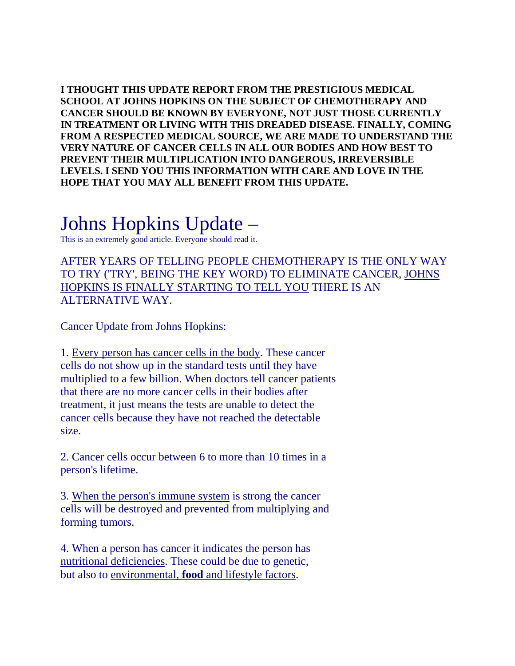**I THOUGHT THIS UPDATE REPORT FROM THE PRESTIGIOUS MEDICAL SCHOOL AT JOHNS HOPKINS ON THE SUBJECT OF CHEMOTHERAPY AND CANCER SHOULD BE KNOWN BY EVERYONE, NOT JUST THOSE CURRENTLY IN TREATMENT OR LIVING WITH THIS DREADED DISEASE. FINALLY, COMING FROM A RESPECTED MEDICAL SOURCE, WE ARE MADE TO UNDERSTAND THE VERY NATURE OF CANCER CELLS IN ALL OUR BODIES AND HOW BEST TO PREVENT THEIR MULTIPLICATION INTO DANGEROUS, IRREVERSIBLE LEVELS. I SEND YOU THIS INFORMATION WITH CARE AND LOVE IN THE HOPE THAT YOU MAY ALL BENEFIT FROM THIS UPDATE.** 

## Johns Hopkins Update –

This is an extremely good article. Everyone should read it.

AFTER YEARS OF TELLING PEOPLE CHEMOTHERAPY IS THE ONLY WAY TO TRY ('TRY', BEING THE KEY WORD) TO ELIMINATE CANCER, JOHNS HOPKINS IS FINALLY STARTING TO TELL YOU THERE IS AN ALTERNATIVE WAY.

Cancer Update from Johns Hopkins:

1. Every person has cancer cells in the body. These cancer cells do not show up in the standard tests until they have multiplied to a few billion. When doctors tell cancer patients that there are no more cancer cells in their bodies after treatment, it just means the tests are unable to detect the cancer cells because they have not reached the detectable size.

2. Cancer cells occur between 6 to more than 10 times in a person's lifetime.

3. When the person's immune system is strong the cancer cells will be destroyed and prevented from multiplying and forming tumors.

4. When a person has cancer it indicates the person has nutritional deficiencies. These could be due to genetic, but also to environmental, **food** and lifestyle factors.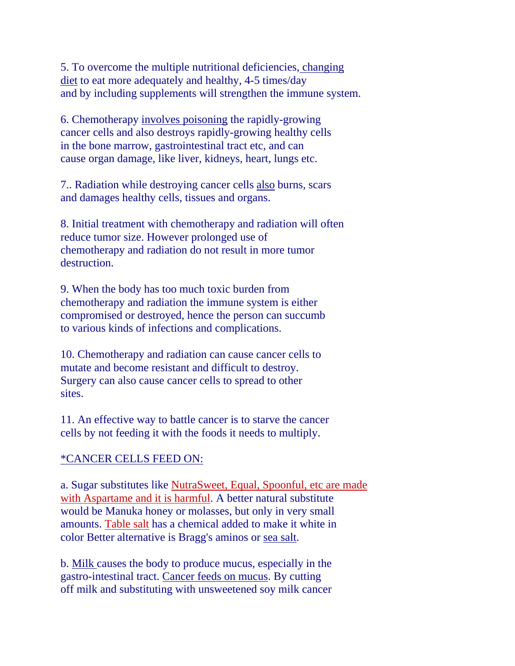5. To overcome the multiple nutritional deficiencies, changing diet to eat more adequately and healthy, 4-5 times/day and by including supplements will strengthen the immune system.

6. Chemotherapy involves poisoning the rapidly-growing cancer cells and also destroys rapidly-growing healthy cells in the bone marrow, gastrointestinal tract etc, and can cause organ damage, like liver, kidneys, heart, lungs etc.

7.. Radiation while destroying cancer cells also burns, scars and damages healthy cells, tissues and organs.

8. Initial treatment with chemotherapy and radiation will often reduce tumor size. However prolonged use of chemotherapy and radiation do not result in more tumor destruction.

9. When the body has too much toxic burden from chemotherapy and radiation the immune system is either compromised or destroyed, hence the person can succumb to various kinds of infections and complications.

10. Chemotherapy and radiation can cause cancer cells to mutate and become resistant and difficult to destroy. Surgery can also cause cancer cells to spread to other sites.

11. An effective way to battle cancer is to starve the cancer cells by not feeding it with the foods it needs to multiply.

## \*CANCER CELLS FEED ON:

a. Sugar substitutes like NutraSweet, Equal, Spoonful, etc are made with Aspartame and it is harmful. A better natural substitute would be Manuka honey or molasses, but only in very small amounts. Table salt has a chemical added to make it white in color Better alternative is Bragg's aminos or sea salt.

b. Milk causes the body to produce mucus, especially in the gastro-intestinal tract. Cancer feeds on mucus. By cutting off milk and substituting with unsweetened soy milk cancer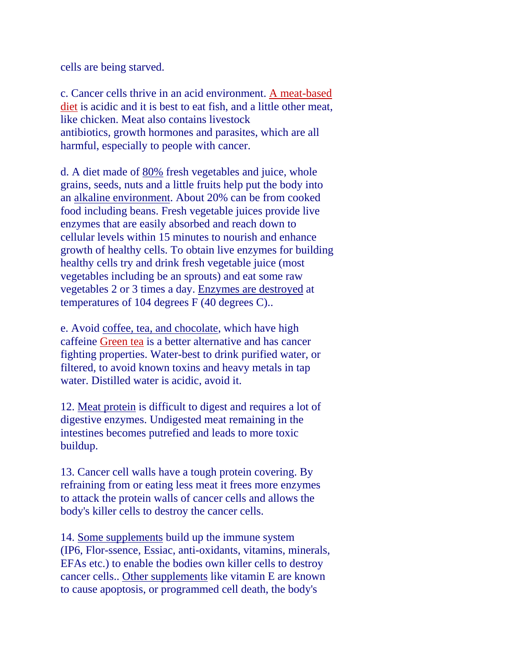cells are being starved.

c. Cancer cells thrive in an acid environment. A meat-based diet is acidic and it is best to eat fish, and a little other meat, like chicken. Meat also contains livestock antibiotics, growth hormones and parasites, which are all harmful, especially to people with cancer.

d. A diet made of 80% fresh vegetables and juice, whole grains, seeds, nuts and a little fruits help put the body into an alkaline environment. About 20% can be from cooked food including beans. Fresh vegetable juices provide live enzymes that are easily absorbed and reach down to cellular levels within 15 minutes to nourish and enhance growth of healthy cells. To obtain live enzymes for building healthy cells try and drink fresh vegetable juice (most vegetables including be an sprouts) and eat some raw vegetables 2 or 3 times a day. Enzymes are destroyed at temperatures of 104 degrees F (40 degrees C)..

e. Avoid coffee, tea, and chocolate, which have high caffeine Green tea is a better alternative and has cancer fighting properties. Water-best to drink purified water, or filtered, to avoid known toxins and heavy metals in tap water. Distilled water is acidic, avoid it.

12. Meat protein is difficult to digest and requires a lot of digestive enzymes. Undigested meat remaining in the intestines becomes putrefied and leads to more toxic buildup.

13. Cancer cell walls have a tough protein covering. By refraining from or eating less meat it frees more enzymes to attack the protein walls of cancer cells and allows the body's killer cells to destroy the cancer cells.

14. Some supplements build up the immune system (IP6, Flor-ssence, Essiac, anti-oxidants, vitamins, minerals, EFAs etc.) to enable the bodies own killer cells to destroy cancer cells.. Other supplements like vitamin E are known to cause apoptosis, or programmed cell death, the body's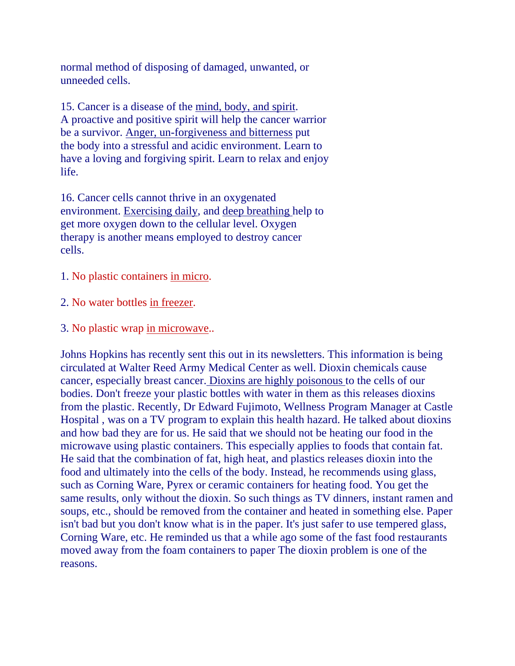normal method of disposing of damaged, unwanted, or unneeded cells.

15. Cancer is a disease of the mind, body, and spirit. A proactive and positive spirit will help the cancer warrior be a survivor. Anger, un-forgiveness and bitterness put the body into a stressful and acidic environment. Learn to have a loving and forgiving spirit. Learn to relax and enjoy life.

16. Cancer cells cannot thrive in an oxygenated environment. Exercising daily, and deep breathing help to get more oxygen down to the cellular level. Oxygen therapy is another means employed to destroy cancer cells.

- 1. No plastic containers in micro.
- 2. No water bottles in freezer.
- 3. No plastic wrap in microwave..

Johns Hopkins has recently sent this out in its newsletters. This information is being circulated at Walter Reed Army Medical Center as well. Dioxin chemicals cause cancer, especially breast cancer. Dioxins are highly poisonous to the cells of our bodies. Don't freeze your plastic bottles with water in them as this releases dioxins from the plastic. Recently, Dr Edward Fujimoto, Wellness Program Manager at Castle Hospital , was on a TV program to explain this health hazard. He talked about dioxins and how bad they are for us. He said that we should not be heating our food in the microwave using plastic containers. This especially applies to foods that contain fat. He said that the combination of fat, high heat, and plastics releases dioxin into the food and ultimately into the cells of the body. Instead, he recommends using glass, such as Corning Ware, Pyrex or ceramic containers for heating food. You get the same results, only without the dioxin. So such things as TV dinners, instant ramen and soups, etc., should be removed from the container and heated in something else. Paper isn't bad but you don't know what is in the paper. It's just safer to use tempered glass, Corning Ware, etc. He reminded us that a while ago some of the fast food restaurants moved away from the foam containers to paper The dioxin problem is one of the reasons.